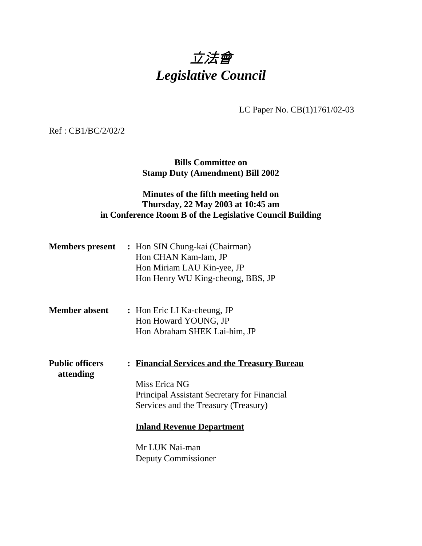

LC Paper No. CB(1)1761/02-03

Ref : CB1/BC/2/02/2

**Bills Committee on Stamp Duty (Amendment) Bill 2002**

## **Minutes of the fifth meeting held on Thursday, 22 May 2003 at 10:45 am in Conference Room B of the Legislative Council Building**

| <b>Members present</b> | : Hon SIN Chung-kai (Chairman)    |
|------------------------|-----------------------------------|
|                        | Hon CHAN Kam-lam, JP              |
|                        | Hon Miriam LAU Kin-yee, JP        |
|                        | Hon Henry WU King-cheong, BBS, JP |
|                        |                                   |

- **Member absent :** Hon Eric LI Ka-cheung, JP Hon Howard YOUNG, JP Hon Abraham SHEK Lai-him, JP
- **Public officers : Financial Services and the Treasury Bureau attending** Miss Erica NG

Principal Assistant Secretary for Financial Services and the Treasury (Treasury)

#### **Inland Revenue Department**

Mr LUK Nai-man Deputy Commissioner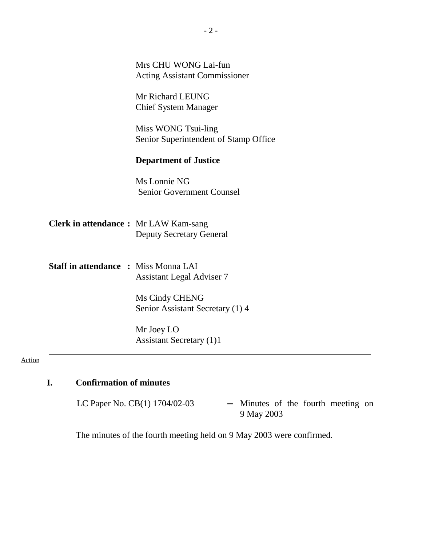|                                              | Mrs CHU WONG Lai-fun<br><b>Acting Assistant Commissioner</b> |
|----------------------------------------------|--------------------------------------------------------------|
|                                              | Mr Richard LEUNG<br><b>Chief System Manager</b>              |
|                                              | Miss WONG Tsui-ling<br>Senior Superintendent of Stamp Office |
|                                              | <b>Department of Justice</b>                                 |
|                                              | Ms Lonnie NG<br><b>Senior Government Counsel</b>             |
| <b>Clerk in attendance :</b> Mr LAW Kam-sang | <b>Deputy Secretary General</b>                              |
| <b>Staff in attendance : Miss Monna LAI</b>  | <b>Assistant Legal Adviser 7</b>                             |
|                                              | Ms Cindy CHENG<br>Senior Assistant Secretary (1) 4           |
|                                              | Mr Joey LO<br><b>Assistant Secretary (1)1</b>                |

#### Action

# **I. Confirmation of minutes**

LC Paper No. CB(1)  $1704/02-03$  - Minutes of the fourth meeting on 9 May 2003

The minutes of the fourth meeting held on 9 May 2003 were confirmed.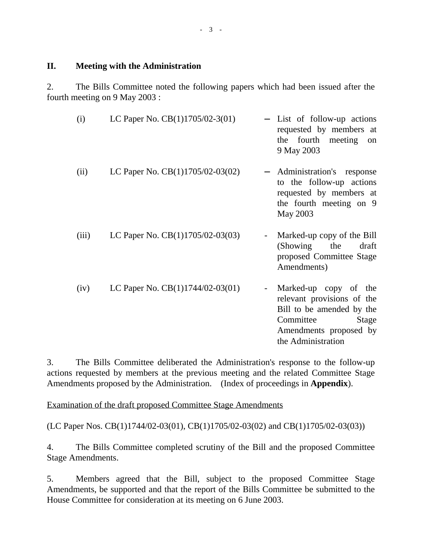#### **II. Meeting with the Administration**

2. The Bills Committee noted the following papers which had been issued after the fourth meeting on 9 May 2003 :

| (i)   | LC Paper No. $CB(1)1705/02-3(01)$  | - List of follow-up actions<br>requested by members at<br>fourth meeting<br>the<br>on<br>9 May 2003                                                                                |
|-------|------------------------------------|------------------------------------------------------------------------------------------------------------------------------------------------------------------------------------|
| (ii)  | LC Paper No. $CB(1)1705/02-03(02)$ | Administration's response<br>to the follow-up actions<br>requested by members at<br>the fourth meeting on 9<br>May 2003                                                            |
| (iii) | LC Paper No. $CB(1)1705/02-03(03)$ | Marked-up copy of the Bill<br>(Showing)<br>the<br>draft<br>proposed Committee Stage<br>Amendments)                                                                                 |
| (iv)  | LC Paper No. $CB(1)1744/02-03(01)$ | Marked-up copy of the<br>$\overline{\phantom{a}}$<br>relevant provisions of the<br>Bill to be amended by the<br>Committee<br>Stage<br>Amendments proposed by<br>the Administration |

3. The Bills Committee deliberated the Administration's response to the follow-up actions requested by members at the previous meeting and the related Committee Stage Amendments proposed by the Administration. (Index of proceedings in **Appendix**).

Examination of the draft proposed Committee Stage Amendments

(LC Paper Nos. CB(1)1744/02-03(01), CB(1)1705/02-03(02) and CB(1)1705/02-03(03))

4. The Bills Committee completed scrutiny of the Bill and the proposed Committee Stage Amendments.

5. Members agreed that the Bill, subject to the proposed Committee Stage Amendments, be supported and that the report of the Bills Committee be submitted to the House Committee for consideration at its meeting on 6 June 2003.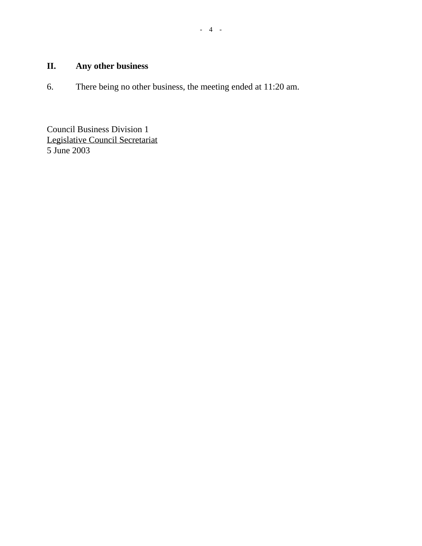## **II. Any other business**

6. There being no other business, the meeting ended at 11:20 am.

Council Business Division 1 Legislative Council Secretariat 5 June 2003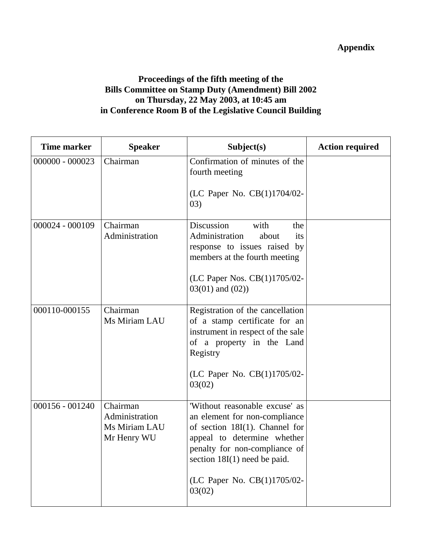# **Appendix**

### **Proceedings of the fifth meeting of the Bills Committee on Stamp Duty (Amendment) Bill 2002 on Thursday, 22 May 2003, at 10:45 am in Conference Room B of the Legislative Council Building**

| <b>Time marker</b> | <b>Speaker</b>                                             | Subject(s)                                                                                                                                                                                                                                      | <b>Action required</b> |
|--------------------|------------------------------------------------------------|-------------------------------------------------------------------------------------------------------------------------------------------------------------------------------------------------------------------------------------------------|------------------------|
| $000000 - 000023$  | Chairman                                                   | Confirmation of minutes of the<br>fourth meeting<br>(LC Paper No. CB(1)1704/02-<br>(03)                                                                                                                                                         |                        |
| 000024 - 000109    | Chairman<br>Administration                                 | Discussion<br>with<br>the<br>Administration<br>about<br>its<br>response to issues raised by<br>members at the fourth meeting<br>(LC Paper Nos. CB(1)1705/02-<br>$03(01)$ and $(02)$ )                                                           |                        |
| 000110-000155      | Chairman<br>Ms Miriam LAU                                  | Registration of the cancellation<br>of a stamp certificate for an<br>instrument in respect of the sale<br>of a property in the Land<br>Registry<br>(LC Paper No. CB(1)1705/02-<br>03(02)                                                        |                        |
| $000156 - 001240$  | Chairman<br>Administration<br>Ms Miriam LAU<br>Mr Henry WU | 'Without reasonable excuse' as<br>an element for non-compliance<br>of section $18I(1)$ . Channel for<br>appeal to determine whether<br>penalty for non-compliance of<br>section $18I(1)$ need be paid.<br>(LC Paper No. CB(1)1705/02-<br>03(02) |                        |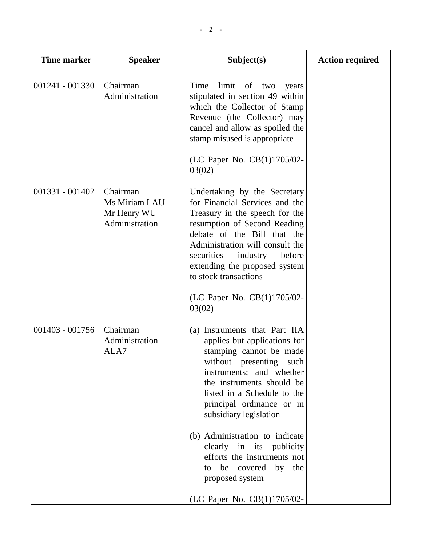| Time marker       | <b>Speaker</b>                                             | Subject(s)                                                                                                                                                                                                                                                                                                                                                                                                                                   | <b>Action required</b> |
|-------------------|------------------------------------------------------------|----------------------------------------------------------------------------------------------------------------------------------------------------------------------------------------------------------------------------------------------------------------------------------------------------------------------------------------------------------------------------------------------------------------------------------------------|------------------------|
| $001241 - 001330$ | Chairman<br>Administration                                 | limit<br>Time<br>of two<br>years<br>stipulated in section 49 within<br>which the Collector of Stamp<br>Revenue (the Collector) may<br>cancel and allow as spoiled the<br>stamp misused is appropriate<br>(LC Paper No. CB(1)1705/02-<br>03(02)                                                                                                                                                                                               |                        |
| $001331 - 001402$ | Chairman<br>Ms Miriam LAU<br>Mr Henry WU<br>Administration | Undertaking by the Secretary<br>for Financial Services and the<br>Treasury in the speech for the<br>resumption of Second Reading<br>debate of the Bill that the<br>Administration will consult the<br>securities<br>industry<br>before<br>extending the proposed system<br>to stock transactions<br>(LC Paper No. CB(1)1705/02-<br>03(02)                                                                                                    |                        |
| $001403 - 001756$ | Chairman<br>Administration<br>ALA7                         | (a) Instruments that Part IIA<br>applies but applications for<br>stamping cannot be made<br>without presenting<br>such<br>instruments; and whether<br>the instruments should be<br>listed in a Schedule to the<br>principal ordinance or in<br>subsidiary legislation<br>(b) Administration to indicate<br>clearly in its publicity<br>efforts the instruments not<br>to be covered by the<br>proposed system<br>(LC Paper No. CB(1)1705/02- |                        |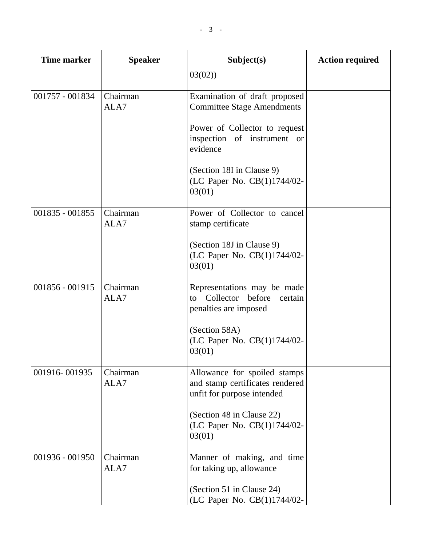| <b>Time marker</b> | <b>Speaker</b>   | Subject(s)                                                                                    | <b>Action required</b> |
|--------------------|------------------|-----------------------------------------------------------------------------------------------|------------------------|
|                    |                  | 03(02)                                                                                        |                        |
| 001757 - 001834    | Chairman<br>ALA7 | Examination of draft proposed<br><b>Committee Stage Amendments</b>                            |                        |
|                    |                  | Power of Collector to request<br>inspection of instrument or<br>evidence                      |                        |
|                    |                  | (Section 18I in Clause 9)<br>(LC Paper No. CB(1)1744/02-<br>03(01)                            |                        |
| 001835 - 001855    | Chairman<br>ALA7 | Power of Collector to cancel<br>stamp certificate                                             |                        |
|                    |                  | (Section 18J in Clause 9)<br>(LC Paper No. CB(1)1744/02-<br>03(01)                            |                        |
| 001856 - 001915    | Chairman<br>ALA7 | Representations may be made<br>Collector before<br>to<br>certain<br>penalties are imposed     |                        |
|                    |                  | (Section 58A)<br>(LC Paper No. CB(1)1744/02-<br>03(01)                                        |                        |
| 001916-001935      | Chairman<br>ALA7 | Allowance for spoiled stamps<br>and stamp certificates rendered<br>unfit for purpose intended |                        |
|                    |                  | (Section 48 in Clause 22)<br>(LC Paper No. CB(1)1744/02-<br>03(01)                            |                        |
| 001936 - 001950    | Chairman<br>ALA7 | Manner of making, and time<br>for taking up, allowance                                        |                        |
|                    |                  | (Section 51 in Clause 24)<br>(LC Paper No. CB(1)1744/02-                                      |                        |